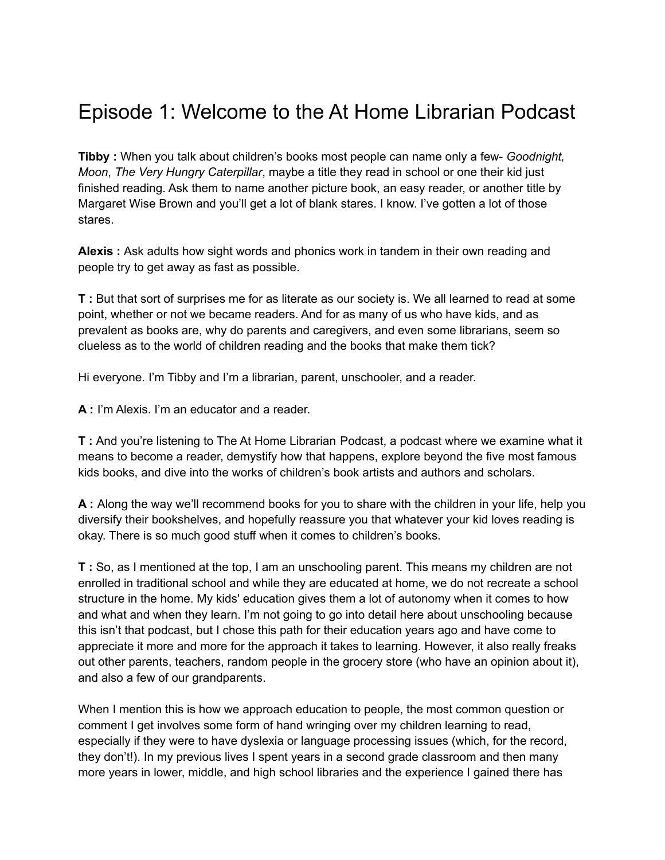## Episode 1: Welcome to the At Home Librarian Podcast

**Tibby :** When you talk about children's books most people can name only a few- *Goodnight, Moon*, *The Very Hungry Caterpillar*, maybe a title they read in school or one their kid just finished reading. Ask them to name another picture book, an easy reader, or another title by Margaret Wise Brown and you'll get a lot of blank stares. I know. I've gotten a lot of those stares.

**Alexis :** Ask adults how sight words and phonics work in tandem in their own reading and people try to get away as fast as possible.

**T :** But that sort of surprises me for as literate as our society is. We all learned to read at some point, whether or not we became readers. And for as many of us who have kids, and as prevalent as books are, why do parents and caregivers, and even some librarians, seem so clueless as to the world of children reading and the books that make them tick?

Hi everyone. I'm Tibby and I'm a librarian, parent, unschooler, and a reader.

**A :** I'm Alexis. I'm an educator and a reader.

**T :** And you're listening to The At Home Librarian Podcast, a podcast where we examine what it means to become a reader, demystify how that happens, explore beyond the five most famous kids books, and dive into the works of children's book artists and authors and scholars.

**A :** Along the way we'll recommend books for you to share with the children in your life, help you diversify their bookshelves, and hopefully reassure you that whatever your kid loves reading is okay. There is so much good stuff when it comes to children's books.

**T :** So, as I mentioned at the top, I am an unschooling parent. This means my children are not enrolled in traditional school and while they are educated at home, we do not recreate a school structure in the home. My kids' education gives them a lot of autonomy when it comes to how and what and when they learn. I'm not going to go into detail here about unschooling because this isn't that podcast, but I chose this path for their education years ago and have come to appreciate it more and more for the approach it takes to learning. However, it also really freaks out other parents, teachers, random people in the grocery store (who have an opinion about it), and also a few of our grandparents.

When I mention this is how we approach education to people, the most common question or comment I get involves some form of hand wringing over my children learning to read, especially if they were to have dyslexia or language processing issues (which, for the record, they don't!). In my previous lives I spent years in a second grade classroom and then many more years in lower, middle, and high school libraries and the experience I gained there has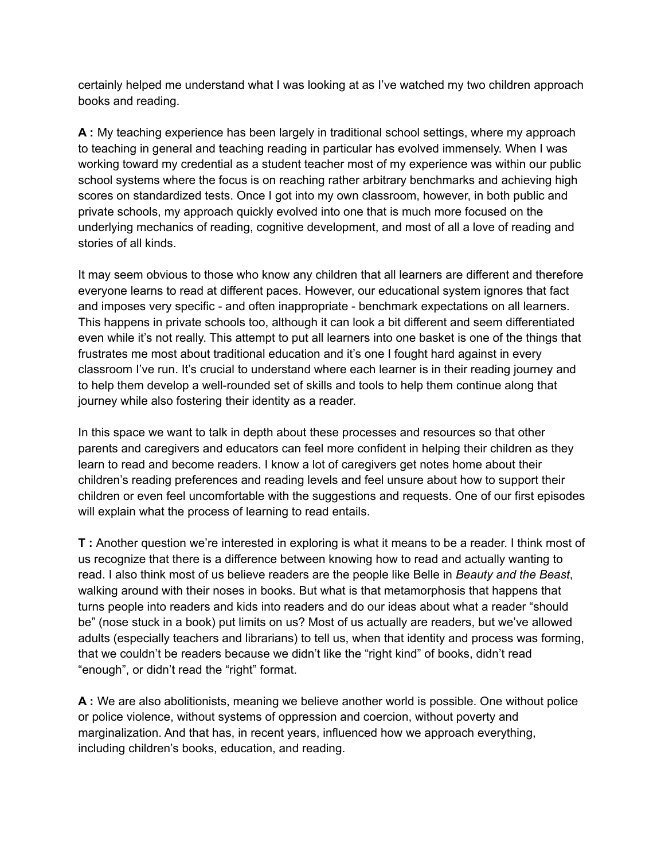certainly helped me understand what I was looking at as I've watched my two children approach books and reading.

**A :** My teaching experience has been largely in traditional school settings, where my approach to teaching in general and teaching reading in particular has evolved immensely. When I was working toward my credential as a student teacher most of my experience was within our public school systems where the focus is on reaching rather arbitrary benchmarks and achieving high scores on standardized tests. Once I got into my own classroom, however, in both public and private schools, my approach quickly evolved into one that is much more focused on the underlying mechanics of reading, cognitive development, and most of all a love of reading and stories of all kinds.

It may seem obvious to those who know any children that all learners are different and therefore everyone learns to read at different paces. However, our educational system ignores that fact and imposes very specific - and often inappropriate - benchmark expectations on all learners. This happens in private schools too, although it can look a bit different and seem differentiated even while it's not really. This attempt to put all learners into one basket is one of the things that frustrates me most about traditional education and it's one I fought hard against in every classroom I've run. It's crucial to understand where each learner is in their reading journey and to help them develop a well-rounded set of skills and tools to help them continue along that journey while also fostering their identity as a reader.

In this space we want to talk in depth about these processes and resources so that other parents and caregivers and educators can feel more confident in helping their children as they learn to read and become readers. I know a lot of caregivers get notes home about their children's reading preferences and reading levels and feel unsure about how to support their children or even feel uncomfortable with the suggestions and requests. One of our first episodes will explain what the process of learning to read entails.

**T :** Another question we're interested in exploring is what it means to be a reader. I think most of us recognize that there is a difference between knowing how to read and actually wanting to read. I also think most of us believe readers are the people like Belle in *Beauty and the Beast*, walking around with their noses in books. But what is that metamorphosis that happens that turns people into readers and kids into readers and do our ideas about what a reader "should be" (nose stuck in a book) put limits on us? Most of us actually are readers, but we've allowed adults (especially teachers and librarians) to tell us, when that identity and process was forming, that we couldn't be readers because we didn't like the "right kind" of books, didn't read "enough", or didn't read the "right" format.

**A :** We are also abolitionists, meaning we believe another world is possible. One without police or police violence, without systems of oppression and coercion, without poverty and marginalization. And that has, in recent years, influenced how we approach everything, including children's books, education, and reading.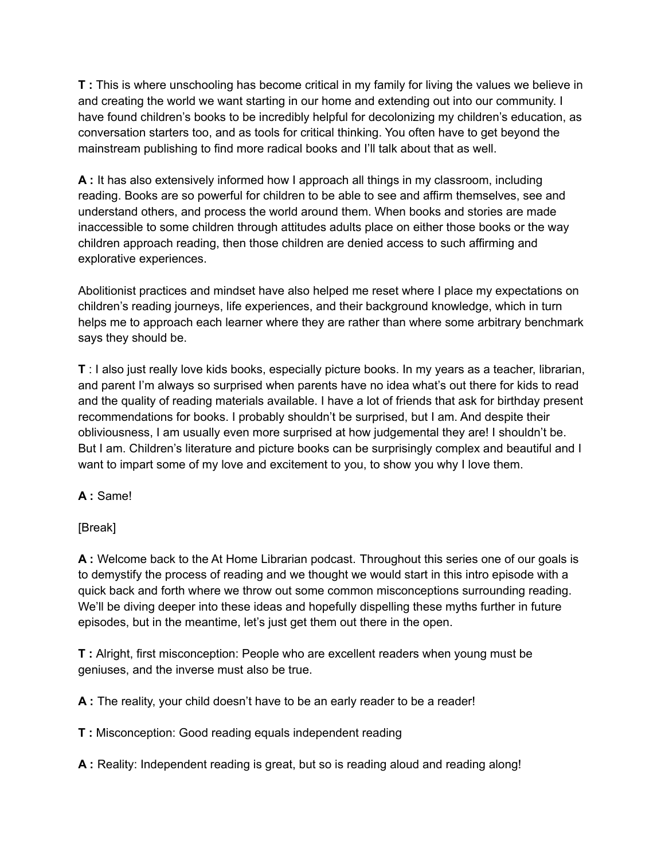**T :** This is where unschooling has become critical in my family for living the values we believe in and creating the world we want starting in our home and extending out into our community. I have found children's books to be incredibly helpful for decolonizing my children's education, as conversation starters too, and as tools for critical thinking. You often have to get beyond the mainstream publishing to find more radical books and I'll talk about that as well.

**A :** It has also extensively informed how I approach all things in my classroom, including reading. Books are so powerful for children to be able to see and affirm themselves, see and understand others, and process the world around them. When books and stories are made inaccessible to some children through attitudes adults place on either those books or the way children approach reading, then those children are denied access to such affirming and explorative experiences.

Abolitionist practices and mindset have also helped me reset where I place my expectations on children's reading journeys, life experiences, and their background knowledge, which in turn helps me to approach each learner where they are rather than where some arbitrary benchmark says they should be.

**T** : I also just really love kids books, especially picture books. In my years as a teacher, librarian, and parent I'm always so surprised when parents have no idea what's out there for kids to read and the quality of reading materials available. I have a lot of friends that ask for birthday present recommendations for books. I probably shouldn't be surprised, but I am. And despite their obliviousness, I am usually even more surprised at how judgemental they are! I shouldn't be. But I am. Children's literature and picture books can be surprisingly complex and beautiful and I want to impart some of my love and excitement to you, to show you why I love them.

**A :** Same!

[Break]

**A :** Welcome back to the At Home Librarian podcast. Throughout this series one of our goals is to demystify the process of reading and we thought we would start in this intro episode with a quick back and forth where we throw out some common misconceptions surrounding reading. We'll be diving deeper into these ideas and hopefully dispelling these myths further in future episodes, but in the meantime, let's just get them out there in the open.

**T :** Alright, first misconception: People who are excellent readers when young must be geniuses, and the inverse must also be true.

**A** : The reality, your child doesn't have to be an early reader to be a reader!

**T :** Misconception: Good reading equals independent reading

**A :** Reality: Independent reading is great, but so is reading aloud and reading along!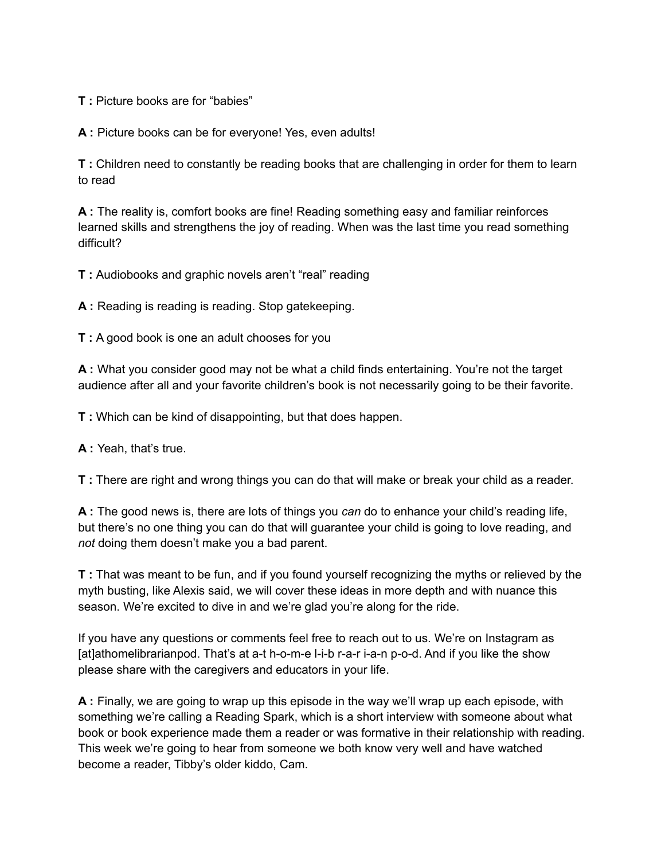**T :** Picture books are for "babies"

**A :** Picture books can be for everyone! Yes, even adults!

**T :** Children need to constantly be reading books that are challenging in order for them to learn to read

**A :** The reality is, comfort books are fine! Reading something easy and familiar reinforces learned skills and strengthens the joy of reading. When was the last time you read something difficult?

**T :** Audiobooks and graphic novels aren't "real" reading

**A :** Reading is reading is reading. Stop gatekeeping.

**T :** A good book is one an adult chooses for you

**A :** What you consider good may not be what a child finds entertaining. You're not the target audience after all and your favorite children's book is not necessarily going to be their favorite.

**T :** Which can be kind of disappointing, but that does happen.

**A :** Yeah, that's true.

**T :** There are right and wrong things you can do that will make or break your child as a reader.

**A :** The good news is, there are lots of things you *can* do to enhance your child's reading life, but there's no one thing you can do that will guarantee your child is going to love reading, and *not* doing them doesn't make you a bad parent.

**T :** That was meant to be fun, and if you found yourself recognizing the myths or relieved by the myth busting, like Alexis said, we will cover these ideas in more depth and with nuance this season. We're excited to dive in and we're glad you're along for the ride.

If you have any questions or comments feel free to reach out to us. We're on Instagram as [at]athomelibrarianpod. That's at a-t h-o-m-e l-i-b r-a-r i-a-n p-o-d. And if you like the show please share with the caregivers and educators in your life.

**A :** Finally, we are going to wrap up this episode in the way we'll wrap up each episode, with something we're calling a Reading Spark, which is a short interview with someone about what book or book experience made them a reader or was formative in their relationship with reading. This week we're going to hear from someone we both know very well and have watched become a reader, Tibby's older kiddo, Cam.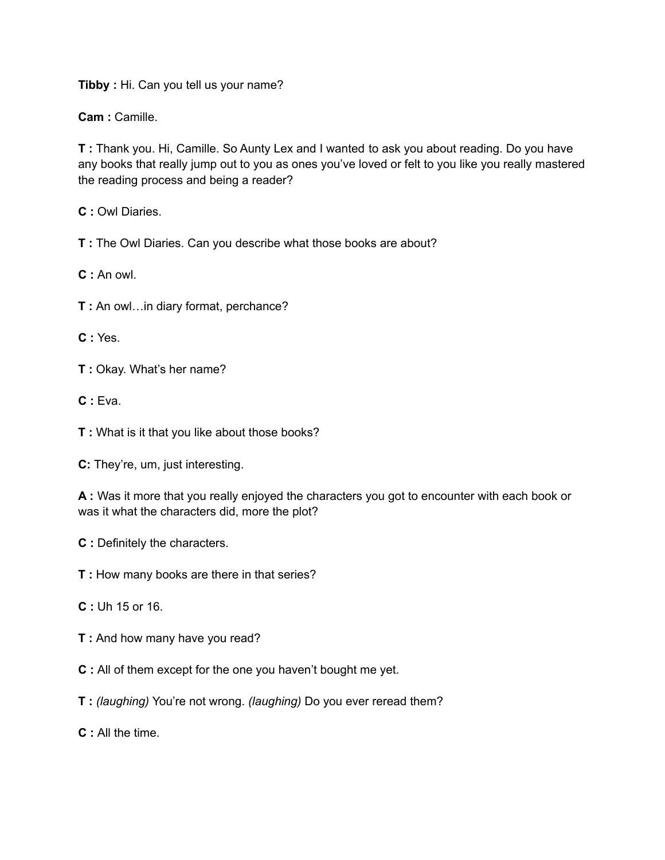**Tibby :** Hi. Can you tell us your name?

**Cam :** Camille.

**T :** Thank you. Hi, Camille. So Aunty Lex and I wanted to ask you about reading. Do you have any books that really jump out to you as ones you've loved or felt to you like you really mastered the reading process and being a reader?

**C :** Owl Diaries.

**T :** The Owl Diaries. Can you describe what those books are about?

**C :** An owl.

**T :** An owl…in diary format, perchance?

**C :** Yes.

**T :** Okay. What's her name?

**C :** Eva.

**T :** What is it that you like about those books?

**C:** They're, um, just interesting.

**A :** Was it more that you really enjoyed the characters you got to encounter with each book or was it what the characters did, more the plot?

- **C :** Definitely the characters.
- **T :** How many books are there in that series?
- **C :** Uh 15 or 16.
- **T :** And how many have you read?
- **C :** All of them except for the one you haven't bought me yet.
- **T :** *(laughing)* You're not wrong. *(laughing)* Do you ever reread them?

**C :** All the time.